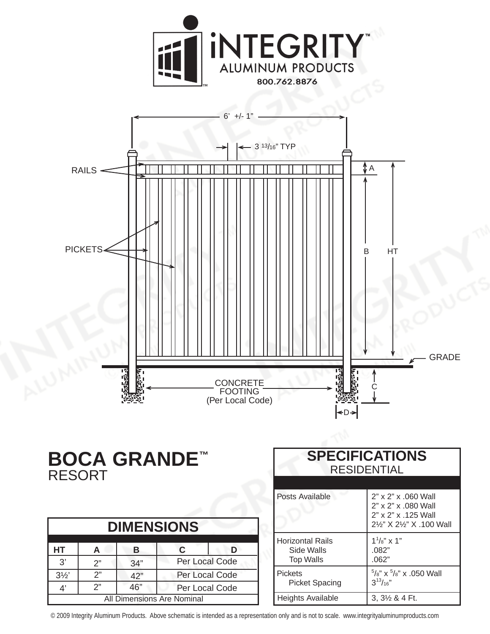



## **BOCA GRANDE™** RESORT

| <b>DIMENSIONS</b>          |    |     |                |  |
|----------------------------|----|-----|----------------|--|
| НT                         | А  | в   | C              |  |
| $\mathcal{R}^{\prime}$     | 2" | 34" | Per Local Code |  |
| $3\frac{1}{2}$             | 2" | 42" | Per Local Code |  |
| Δ'                         | 2" | 46" | Per Local Code |  |
| All Dimensions Are Nominal |    |     |                |  |

| <b>SPECIFICATIONS</b><br><b>RESIDENTIAL</b>               |                                                                                                |  |
|-----------------------------------------------------------|------------------------------------------------------------------------------------------------|--|
| Posts Available                                           | 2" x 2" x .060 Wall<br>2" x 2" x .080 Wall<br>2" x 2" x .125 Wall<br>21/2" X 21/2" X .100 Wall |  |
| <b>Horizontal Rails</b><br>Side Walls<br><b>Top Walls</b> | $1^{1}/s''$ x 1"<br>.082"<br>.062"                                                             |  |
| <b>Pickets</b><br><b>Picket Spacing</b>                   | $5/8$ " x $5/8$ " x .050 Wall<br>$3^{13}/_{16}$ "                                              |  |
| Heights Available                                         | $3,3\frac{1}{2}$ & 4 Ft.                                                                       |  |

© 2009 Integrity Aluminum Products. Above schematic is intended as a representation only and is not to scale. www.integrityaluminumproducts.com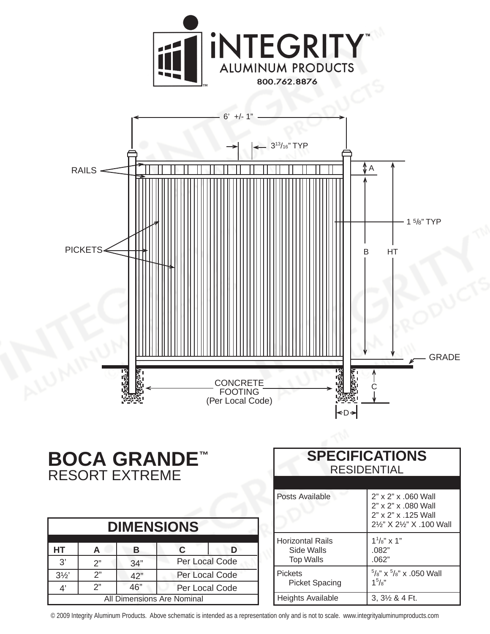



## **BOCA GRANDE™** RESORT EXTREME

| <b>DIMENSIONS</b>          |    |     |                |  |
|----------------------------|----|-----|----------------|--|
| <b>HT</b>                  | А  | в   | C              |  |
| 3'                         | 2" | 34" | Per Local Code |  |
| $3\frac{1}{2}$             | 2" | 42" | Per Local Code |  |
| 4'                         | 2" | 46" | Per Local Code |  |
| All Dimensions Are Nominal |    |     |                |  |

| <b>SPECIFICATIONS</b><br><b>RESIDENTIAL</b>               |                                                                                                |  |
|-----------------------------------------------------------|------------------------------------------------------------------------------------------------|--|
| Posts Available                                           | 2" x 2" x .060 Wall<br>2" x 2" x .080 Wall<br>2" x 2" x .125 Wall<br>21/2" X 21/2" X .100 Wall |  |
| <b>Horizontal Rails</b><br>Side Walls<br><b>Top Walls</b> | $1^{1}/s''$ x 1"<br>.082"<br>.062"                                                             |  |
| <b>Pickets</b><br><b>Picket Spacing</b>                   | $5/8$ " x $5/8$ " x .050 Wall<br>$1^5$ / $\frac{3}{8}$                                         |  |
| Heights Available                                         | 3, 3½ & 4 Ft.                                                                                  |  |

© 2009 Integrity Aluminum Products. Above schematic is intended as a representation only and is not to scale. www.integrityaluminumproducts.com